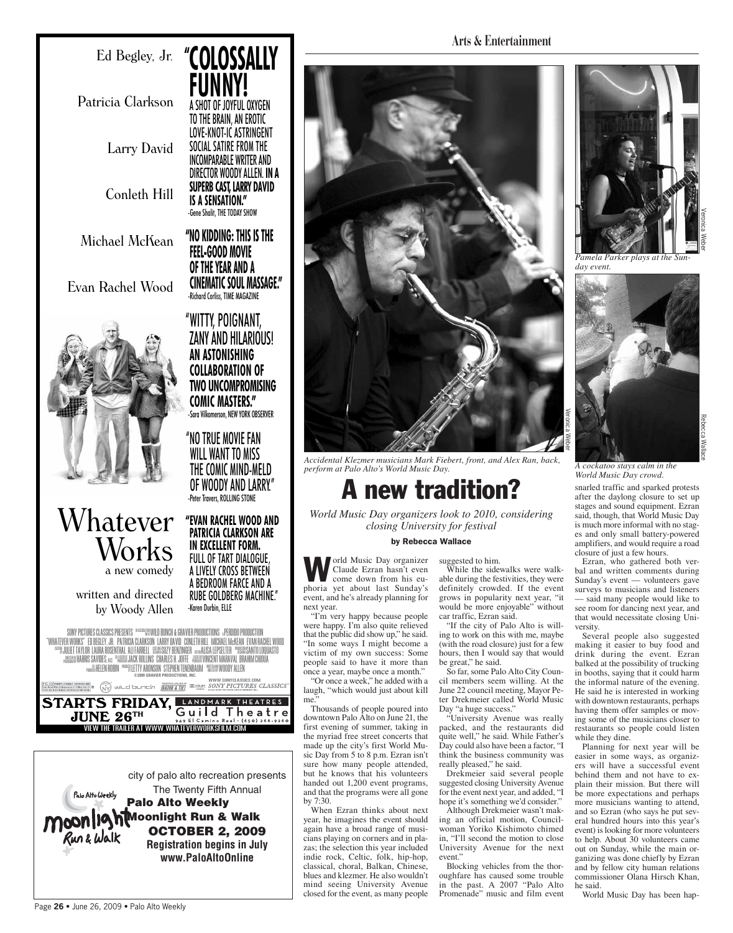## Ed Begley, Jr. **" COLOSSALLY**

**FUNNY!**

A SHOT OF JOYFUL OXYGEN TO THE BRAIN, AN EROTIC LOVE-KNOT-IC ASTRINGENT SOCIAL SATIRE FROM THE INCOMPARABLE WRITER AND DIRECTOR WOODY ALLEN. **IN A SUPERB CAST, LARRY DAVID** 

**IS A SENSATION."** -Gene Shalit, THE TODAY SHOW

**"NO KIDDING: THIS IS THE FEEL-GOOD MOVIE OF THE YEAR AND A**

**CINEMATIC SOUL MASSAGE."** -Richard Corliss, TIME MAGAZINE

"WITTY, POIGNANT, ZANY AND HILARIOUS!

**AN ASTONISHING COLLABORATION OF TWO UNCOMPROMISING COMIC MASTERS."** Sara Vilkomerson, NEW YORK OBSERVER

"NO TRUE MOVIE FAN WILL WANT TO MISS THE COMIC MIND-MELD OF WOODY AND LARRY." -Peter Travers, ROLLING STONE

**"EVAN RACHEL WOOD AND PATRICIA CLARKSON ARE IN EXCELLENT FORM.**

Patricia Clarkson

Larry David

Conleth Hill

Michael McKean

Evan Rachel Wood



# Whatever Works

a new comedy

written and directed by Woody Allen

FULL OF TART DIALOGUE, A LIVELY CROSS BETWEEN A BEDROOM FARCE AND A RUBE GOLDBERG MACHINE." -Karen Durbin, ELLE

SONY PICTURES CLASSICS PRESENTS <sup>"</sup> """ """ BUNCH & GRAVIER PRODUCTIONS » PERDIDO PRODUCTION<br>DIACRETE DE DEGLEVA DE DESTROIR O LONGOLI LI DOVI ALIBA CON ETILIUI I APOLITICI I VELLO PRODUCTION "WHATEVER WORKS" ED BEGLEY, JR. PATRICIA CLARKSON, LARRY DAVID, CONLETH HILL, MICHAEL MCKEAN, EVAN RACHEL WOOD EXERGE UULIET TAYLOR LAURA ROSENTHAL ALI FARRELL ESSUES UZY BENZINGER amaallsa LEPSELTER "MUSSING ANTO LOQUASTO NECEDE MARRIS SAVIDES, ASE <sup>de EREGION</sup> JACK ROLLINS CHARLES H. JOFFE REGIONE VINCENT MARAVAL BRAHIM CHIOÙA **WORKEN HELEN ROBIN PRODUCTION ARONSON STEPHEN TENENBAUM PRODUCTIONS, INC.**<br>©2009 GRAVIER PRODUCTIONS, INC. Ï Ĭ

SOUND TRACK AVAILABLE OF THE SOUND TRACK AVAILABLE OF THE SOUND TRACK CLASSICS

**UNE 26TH Guild Theatre** STARTS FRIDAY, EANDMARK THEATRES  $JUNE$   $26TH$ 



**Arts & Entertainment**



*Accidental Klezmer musicians Mark Fiebert, front, and Alex Ran, back, perform at Palo Alto's World Music Day.*

A new tradition?

*closing University for festival*

### by Rebecca Wallace

**World Music Day organizer<br>
Claude Ezran hasn't even<br>
come down from his eu-<br>
pheric Sunday's** Claude Ezran hasn't even phoria yet about last Sunday's event, and he's already planning for next year.

"I'm very happy because people were happy. I'm also quite relieved that the public did show up," he said. "In some ways I might become a victim of my own success: Some people said to have it more than once a year, maybe once a month."

"Or once a week," he added with a laugh, "which would just about kill me.

Thousands of people poured into downtown Palo Alto on June 21, the first evening of summer, taking in the myriad free street concerts that made up the city's first World Music Day from 5 to 8 p.m. Ezran isn't sure how many people attended, but he knows that his volunteers handed out 1,200 event programs, and that the programs were all gone by 7:30.

When Ezran thinks about next year, he imagines the event should again have a broad range of musicians playing on corners and in plazas; the selection this year included indie rock, Celtic, folk, hip-hop, classical, choral, Balkan, Chinese, blues and klezmer. He also wouldn't mind seeing University Avenue closed for the event, as many people

*World Music Day organizers look to 2010, considering* 

suggested to him. While the sidewalks were walkable during the festivities, they were definitely crowded. If the event grows in popularity next year, "it would be more enjoyable" without

car traffic, Ezran said. "If the city of Palo Alto is willing to work on this with me, maybe (with the road closure) just for a few hours, then I would say that would be great," he said.

So far, some Palo Alto City Council members seem willing. At the June 22 council meeting, Mayor Peter Drekmeier called World Music Day "a huge success."

"University Avenue was really packed, and the restaurants did quite well," he said. While Father's Day could also have been a factor, "I think the business community was really pleased," he said.

Drekmeier said several people suggested closing University Avenue for the event next year, and added, "I hope it's something we'd consider."

Although Drekmeier wasn't making an official motion, Councilwoman Yoriko Kishimoto chimed in, "I'll second the motion to close University Avenue for the next event."

Blocking vehicles from the thoroughfare has caused some trouble in the past. A 2007 "Palo Alto Promenade" music and film event



*Pamela Parker plays at the Sunday event.*



*A cockatoo stays calm in the World Music Day crowd.*

snarled traffic and sparked protests after the daylong closure to set up stages and sound equipment. Ezran said, though, that World Music Day is much more informal with no stages and only small battery-powered amplifiers, and would require a road closure of just a few hours.

Ezran, who gathered both verbal and written comments during Sunday's event — volunteers gave surveys to musicians and listeners — said many people would like to see room for dancing next year, and that would necessitate closing University.

Several people also suggested making it easier to buy food and drink during the event. Ezran balked at the possibility of trucking in booths, saying that it could harm the informal nature of the evening. He said he is interested in working with downtown restaurants, perhaps having them offer samples or moving some of the musicians closer to restaurants so people could listen while they dine.

Planning for next year will be easier in some ways, as organizers will have a successful event behind them and not have to explain their mission. But there will be more expectations and perhaps more musicians wanting to attend, and so Ezran (who says he put several hundred hours into this year's event) is looking for more volunteers to help. About 30 volunteers came out on Sunday, while the main organizing was done chiefly by Ezran and by fellow city human relations commissioner Olana Hirsch Khan, he said.

World Music Day has been hap-